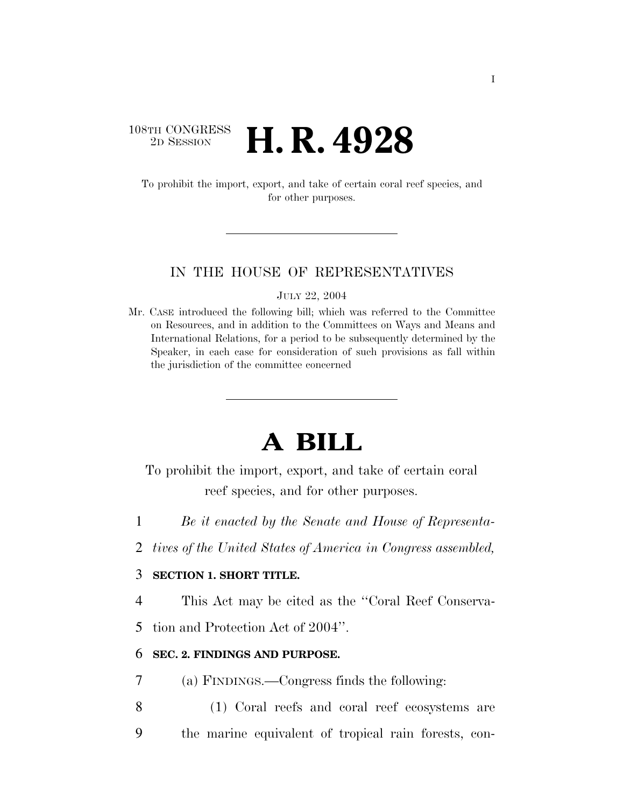# 108TH CONGRESS <sup>2D SESSION</sup> **H. R. 4928**

To prohibit the import, export, and take of certain coral reef species, and for other purposes.

### IN THE HOUSE OF REPRESENTATIVES

JULY 22, 2004

Mr. CASE introduced the following bill; which was referred to the Committee on Resources, and in addition to the Committees on Ways and Means and International Relations, for a period to be subsequently determined by the Speaker, in each case for consideration of such provisions as fall within the jurisdiction of the committee concerned

# **A BILL**

To prohibit the import, export, and take of certain coral reef species, and for other purposes.

- 1 *Be it enacted by the Senate and House of Representa-*
- 2 *tives of the United States of America in Congress assembled,*

# 3 **SECTION 1. SHORT TITLE.**

4 This Act may be cited as the ''Coral Reef Conserva-

5 tion and Protection Act of 2004''.

### 6 **SEC. 2. FINDINGS AND PURPOSE.**

- 7 (a) FINDINGS.—Congress finds the following:
- 8 (1) Coral reefs and coral reef ecosystems are 9 the marine equivalent of tropical rain forests, con-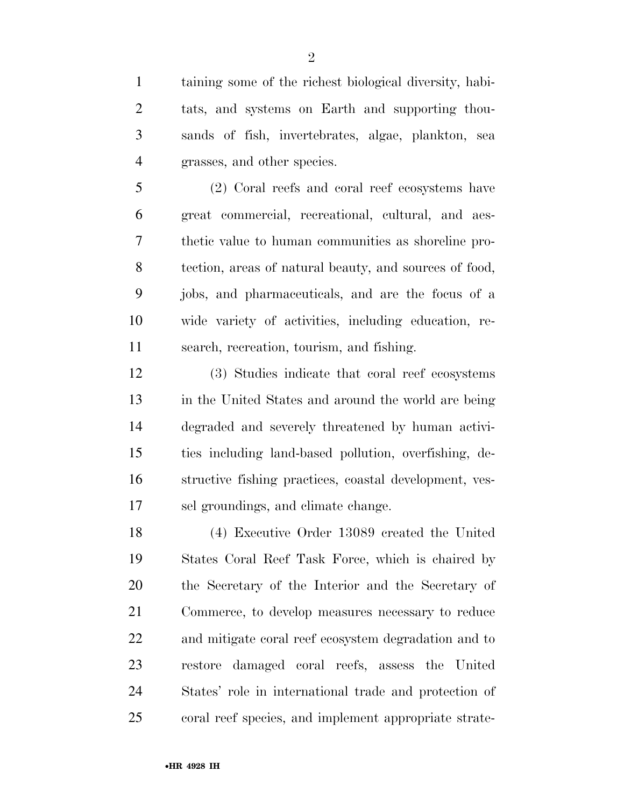taining some of the richest biological diversity, habi- tats, and systems on Earth and supporting thou- sands of fish, invertebrates, algae, plankton, sea grasses, and other species.

 (2) Coral reefs and coral reef ecosystems have great commercial, recreational, cultural, and aes- thetic value to human communities as shoreline pro- tection, areas of natural beauty, and sources of food, jobs, and pharmaceuticals, and are the focus of a wide variety of activities, including education, re-search, recreation, tourism, and fishing.

 (3) Studies indicate that coral reef ecosystems in the United States and around the world are being degraded and severely threatened by human activi- ties including land-based pollution, overfishing, de- structive fishing practices, coastal development, ves-sel groundings, and climate change.

 (4) Executive Order 13089 created the United States Coral Reef Task Force, which is chaired by the Secretary of the Interior and the Secretary of Commerce, to develop measures necessary to reduce and mitigate coral reef ecosystem degradation and to restore damaged coral reefs, assess the United States' role in international trade and protection of coral reef species, and implement appropriate strate-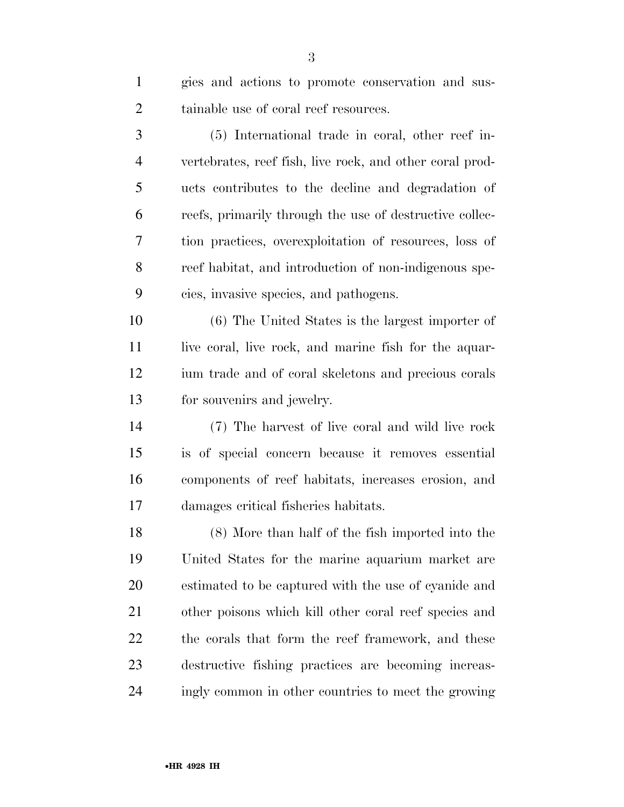| $\mathbf{1}$   | gies and actions to promote conservation and sus-        |
|----------------|----------------------------------------------------------|
| $\overline{2}$ | tainable use of coral reef resources.                    |
| 3              | (5) International trade in coral, other reef in-         |
| 4              | vertebrates, reef fish, live rock, and other coral prod- |
| 5              | ucts contributes to the decline and degradation of       |
| 6              | reefs, primarily through the use of destructive collec-  |
| 7              | tion practices, overexploitation of resources, loss of   |
| 8              | reef habitat, and introduction of non-indigenous spe-    |
| 9              | cies, invasive species, and pathogens.                   |
| 10             | (6) The United States is the largest importer of         |
| 11             | live coral, live rock, and marine fish for the aquar-    |
| 12             | ium trade and of coral skeletons and precious corals     |
| 13             | for souvenirs and jewelry.                               |
| 14             | (7) The harvest of live coral and wild live rock         |
| 15             | is of special concern because it removes essential       |
| 16             | components of reef habitats, increases erosion, and      |
| 17             | damages critical fisheries habitats.                     |
| 18             | (8) More than half of the fish imported into the         |
| 19             | United States for the marine aquarium market are         |
| <b>20</b>      | estimated to be captured with the use of cyanide and     |
| 21             | other poisons which kill other coral reef species and    |
| 22             | the corals that form the reef framework, and these       |
| 23             | destructive fishing practices are becoming increas-      |
| 24             | ingly common in other countries to meet the growing      |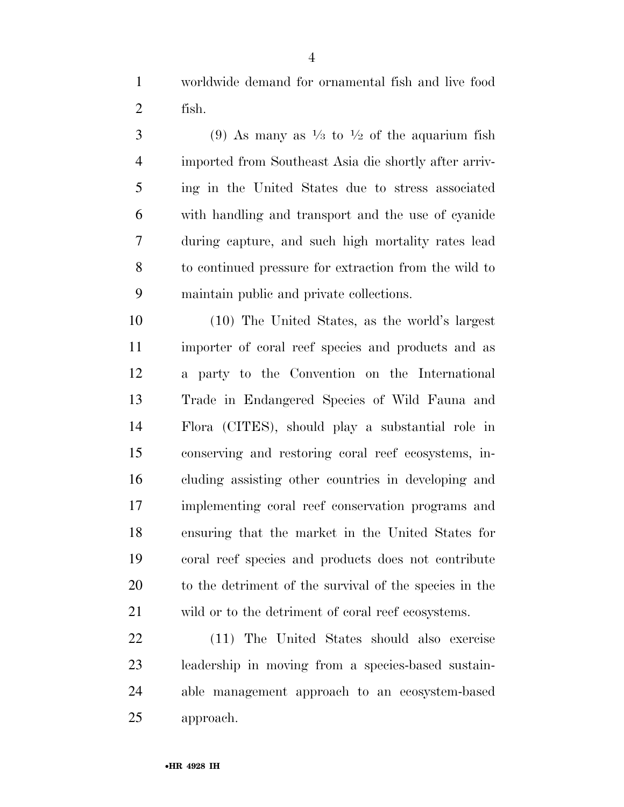worldwide demand for ornamental fish and live food fish.

 $(9)$  As many as  $\frac{1}{3}$  to  $\frac{1}{2}$  of the aquarium fish imported from Southeast Asia die shortly after arriv- ing in the United States due to stress associated with handling and transport and the use of cyanide during capture, and such high mortality rates lead to continued pressure for extraction from the wild to maintain public and private collections.

 (10) The United States, as the world's largest importer of coral reef species and products and as a party to the Convention on the International Trade in Endangered Species of Wild Fauna and Flora (CITES), should play a substantial role in conserving and restoring coral reef ecosystems, in- cluding assisting other countries in developing and implementing coral reef conservation programs and ensuring that the market in the United States for coral reef species and products does not contribute to the detriment of the survival of the species in the wild or to the detriment of coral reef ecosystems.

 (11) The United States should also exercise leadership in moving from a species-based sustain- able management approach to an ecosystem-based approach.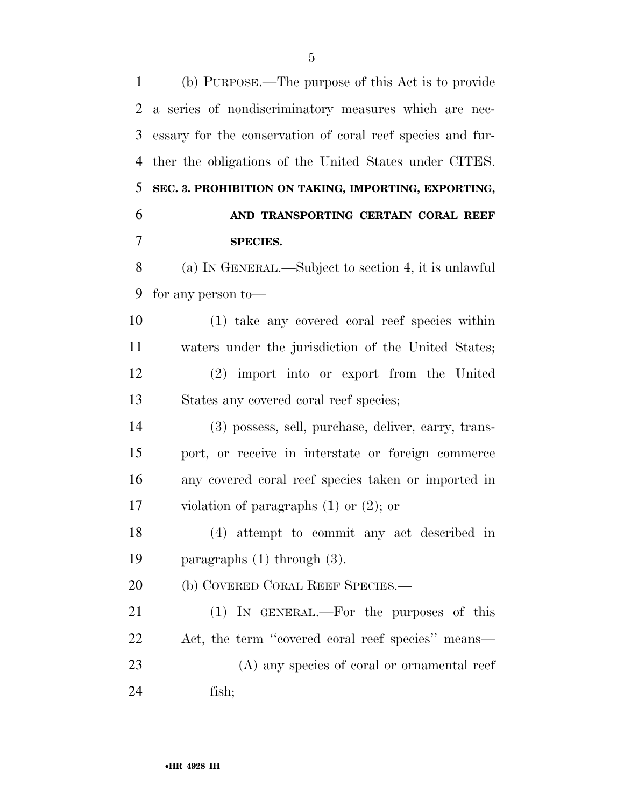(b) PURPOSE.—The purpose of this Act is to provide a series of nondiscriminatory measures which are nec- essary for the conservation of coral reef species and fur- ther the obligations of the United States under CITES. **SEC. 3. PROHIBITION ON TAKING, IMPORTING, EXPORTING, AND TRANSPORTING CERTAIN CORAL REEF SPECIES.**  (a) IN GENERAL.—Subject to section 4, it is unlawful for any person to— (1) take any covered coral reef species within waters under the jurisdiction of the United States;

 (2) import into or export from the United States any covered coral reef species;

 (3) possess, sell, purchase, deliver, carry, trans- port, or receive in interstate or foreign commerce any covered coral reef species taken or imported in violation of paragraphs (1) or (2); or

 (4) attempt to commit any act described in paragraphs (1) through (3).

20 (b) COVERED CORAL REEF SPECIES.—

 (1) IN GENERAL.—For the purposes of this Act, the term ''covered coral reef species'' means— (A) any species of coral or ornamental reef fish;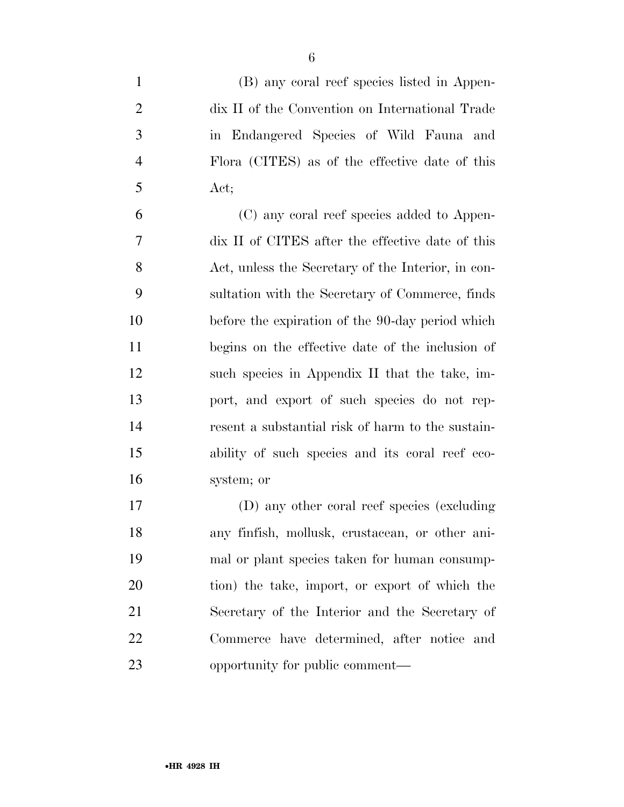| $\mathbf{1}$ | (B) any coral reef species listed in Appen-      |
|--------------|--------------------------------------------------|
| 2            | dix II of the Convention on International Trade  |
| 3            | in Endangered Species of Wild Fauna and          |
| 4            | Flora (CITES) as of the effective date of this   |
| 5            | Act;                                             |
| 6            | (C) any coral reef species added to Appen-       |
| 7            | dix II of CITES after the effective date of this |
|              |                                                  |

 dix II of CITES after the effective date of this Act, unless the Secretary of the Interior, in con- sultation with the Secretary of Commerce, finds before the expiration of the 90-day period which begins on the effective date of the inclusion of such species in Appendix II that the take, im- port, and export of such species do not rep- resent a substantial risk of harm to the sustain- ability of such species and its coral reef eco-system; or

 (D) any other coral reef species (excluding any finfish, mollusk, crustacean, or other ani- mal or plant species taken for human consump- tion) the take, import, or export of which the Secretary of the Interior and the Secretary of Commerce have determined, after notice and opportunity for public comment—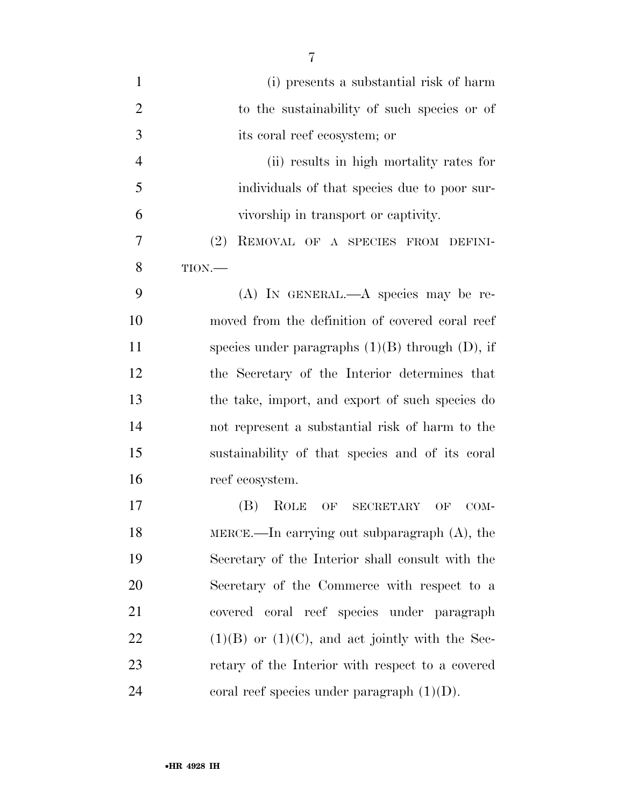| $\mathbf{1}$   | (i) presents a substantial risk of harm              |
|----------------|------------------------------------------------------|
| $\overline{2}$ | to the sustainability of such species or of          |
| 3              | its coral reef ecosystem; or                         |
| $\overline{4}$ | (ii) results in high mortality rates for             |
| 5              | individuals of that species due to poor sur-         |
| 6              | vivorship in transport or captivity.                 |
| 7              | (2)<br>REMOVAL OF A SPECIES FROM DEFINI-             |
| 8              | TION.                                                |
| 9              | $(A)$ In GENERAL.— $A$ species may be re-            |
| 10             | moved from the definition of covered coral reef      |
| 11             | species under paragraphs $(1)(B)$ through $(D)$ , if |
| 12             | the Secretary of the Interior determines that        |
| 13             | the take, import, and export of such species do      |
| 14             | not represent a substantial risk of harm to the      |
| 15             | sustainability of that species and of its coral      |
| 16             | reef ecosystem.                                      |
| 17             | ROLE<br>(B)<br>OF SECRETARY<br>OF<br>COM-            |
| 18             | MERCE.—In carrying out subparagraph $(A)$ , the      |
| 19             | Secretary of the Interior shall consult with the     |
| 20             | Secretary of the Commerce with respect to a          |
| 21             | covered coral reef species under paragraph           |
| 22             | $(1)(B)$ or $(1)(C)$ , and act jointly with the Sec- |
| 23             | retary of the Interior with respect to a covered     |
| 24             | coral reef species under paragraph $(1)(D)$ .        |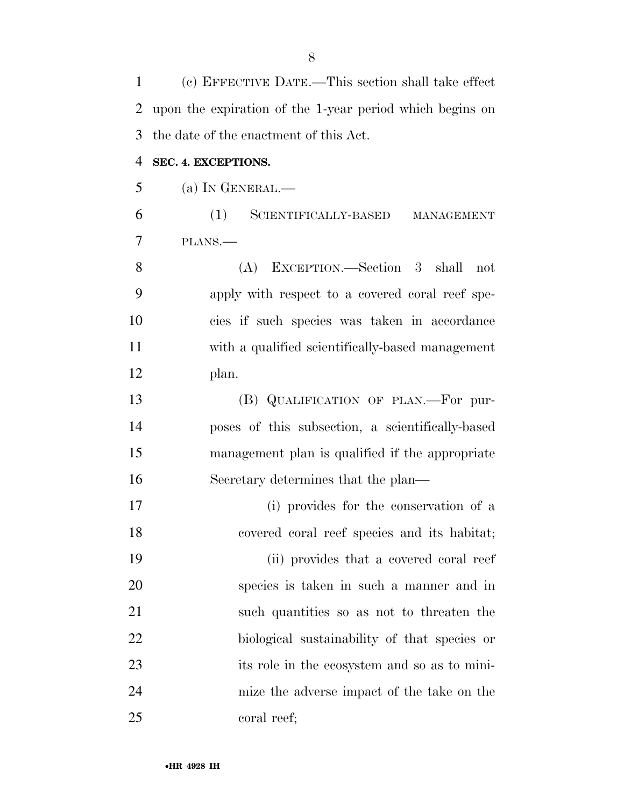(c) EFFECTIVE DATE.—This section shall take effect upon the expiration of the 1-year period which begins on the date of the enactment of this Act. **SEC. 4. EXCEPTIONS.**  (a) IN GENERAL.— (1) SCIENTIFICALLY-BASED MANAGEMENT PLANS.— (A) EXCEPTION.—Section 3 shall not apply with respect to a covered coral reef spe- cies if such species was taken in accordance with a qualified scientifically-based management plan. (B) QUALIFICATION OF PLAN.—For pur- poses of this subsection, a scientifically-based management plan is qualified if the appropriate Secretary determines that the plan— (i) provides for the conservation of a covered coral reef species and its habitat; (ii) provides that a covered coral reef species is taken in such a manner and in such quantities so as not to threaten the biological sustainability of that species or its role in the ecosystem and so as to mini- mize the adverse impact of the take on the coral reef;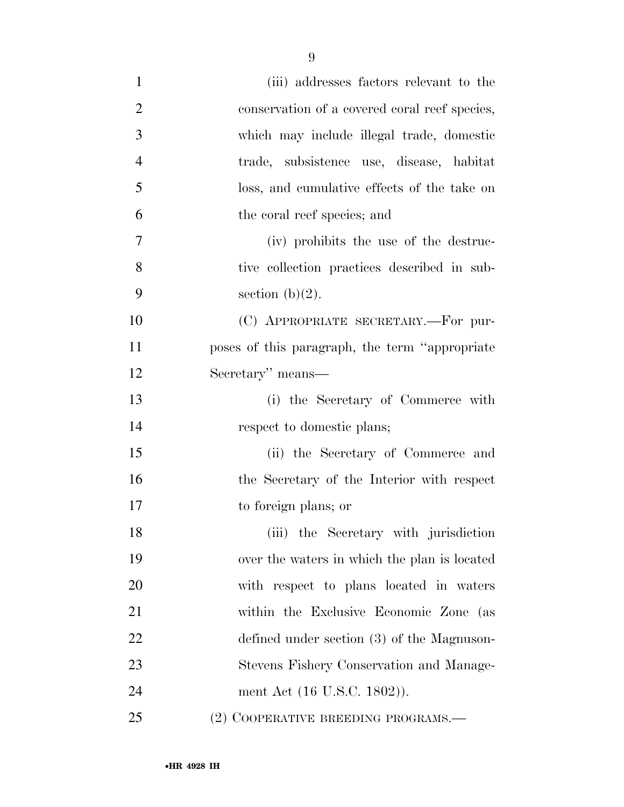| $\mathbf{1}$   | (iii) addresses factors relevant to the         |
|----------------|-------------------------------------------------|
| $\overline{2}$ | conservation of a covered coral reef species,   |
| 3              | which may include illegal trade, domestic       |
| $\overline{4}$ | trade, subsistence use, disease, habitat        |
| 5              | loss, and cumulative effects of the take on     |
| 6              | the coral reef species; and                     |
| 7              | (iv) prohibits the use of the destruc-          |
| 8              | tive collection practices described in sub-     |
| 9              | section $(b)(2)$ .                              |
| 10             | (C) APPROPRIATE SECRETARY.—For pur-             |
| 11             | poses of this paragraph, the term "appropriate" |
| 12             | Secretary" means—                               |
| 13             | (i) the Secretary of Commerce with              |
| 14             | respect to domestic plans;                      |
| 15             | (ii) the Secretary of Commerce and              |
| 16             | the Secretary of the Interior with respect      |
| 17             | to foreign plans; or                            |
| 18             | (iii) the Secretary with jurisdiction           |
| 19             | over the waters in which the plan is located    |
| 20             | with respect to plans located in waters         |
| 21             | within the Exclusive Economic Zone (as          |
| 22             | defined under section (3) of the Magnuson-      |
| 23             | Stevens Fishery Conservation and Manage-        |
| 24             | ment Act (16 U.S.C. 1802)).                     |
| 25             | (2) COOPERATIVE BREEDING PROGRAMS.-             |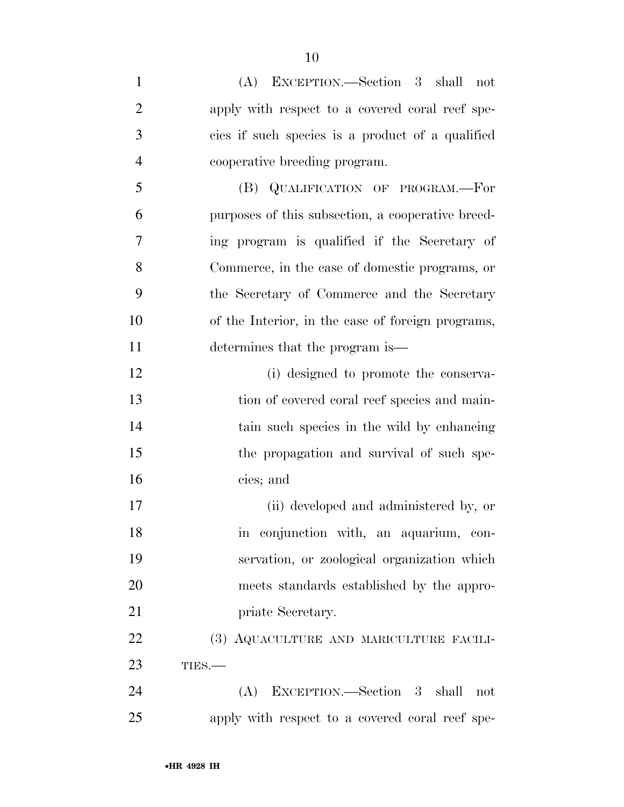| $\mathbf{1}$   | (A) EXCEPTION.—Section 3 shall not                |
|----------------|---------------------------------------------------|
| $\overline{2}$ | apply with respect to a covered coral reef spe-   |
| 3              | cies if such species is a product of a qualified  |
| $\overline{4}$ | cooperative breeding program.                     |
| 5              | (B) QUALIFICATION OF PROGRAM.—For                 |
| 6              | purposes of this subsection, a cooperative breed- |
| 7              | ing program is qualified if the Secretary of      |
| 8              | Commerce, in the case of domestic programs, or    |
| 9              | the Secretary of Commerce and the Secretary       |
| 10             | of the Interior, in the case of foreign programs, |
| 11             | determines that the program is—                   |
| 12             | (i) designed to promote the conserva-             |
| 13             | tion of covered coral reef species and main-      |
| 14             | tain such species in the wild by enhancing        |
| 15             | the propagation and survival of such spe-         |
| 16             | cies; and                                         |
| 17             | (ii) developed and administered by, or            |
| 18             | in conjunction with, an aquarium, con-            |
| 19             | servation, or zoological organization which       |
| 20             | meets standards established by the appro-         |
| 21             | priate Secretary.                                 |
| 22             | (3) AQUACULTURE AND MARICULTURE FACILI-           |
| 23             | TIES.                                             |
| 24             | EXCEPTION.—Section 3 shall<br>(A)<br>not          |
| 25             | apply with respect to a covered coral reef spe-   |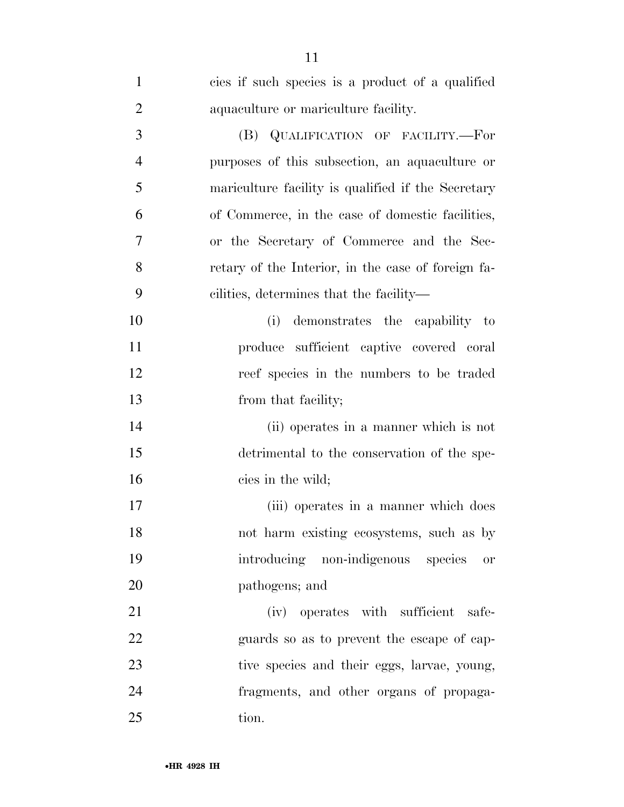| 1              | cies if such species is a product of a qualified   |
|----------------|----------------------------------------------------|
| $\overline{2}$ | aquaculture or mariculture facility.               |
| 3              | (B) QUALIFICATION OF FACILITY.-For                 |
| $\overline{4}$ | purposes of this subsection, an aquaculture or     |
| 5              | mariculture facility is qualified if the Secretary |
| 6              | of Commerce, in the case of domestic facilities,   |
| 7              | or the Secretary of Commerce and the Sec-          |
| 8              | retary of the Interior, in the case of foreign fa- |
| 9              | cilities, determines that the facility—            |
| 10             | demonstrates the capability to<br>(i)              |
| 11             | produce sufficient captive covered coral           |
| 12             | reef species in the numbers to be traded           |
| 13             | from that facility;                                |
| 14             | (ii) operates in a manner which is not             |
| 15             | detrimental to the conservation of the spe-        |
| 16             | cies in the wild;                                  |
| 17             | (iii) operates in a manner which does              |
| 18             | not harm existing ecosystems, such as by           |
| 19             | introducing non-indigenous species<br><b>or</b>    |
| 20             | pathogens; and                                     |
| 21             | (iv) operates with sufficient<br>safe-             |
| <u>22</u>      | guards so as to prevent the escape of cap-         |
| 23             | tive species and their eggs, larvae, young,        |
| 24             | fragments, and other organs of propaga-            |
| 25             | tion.                                              |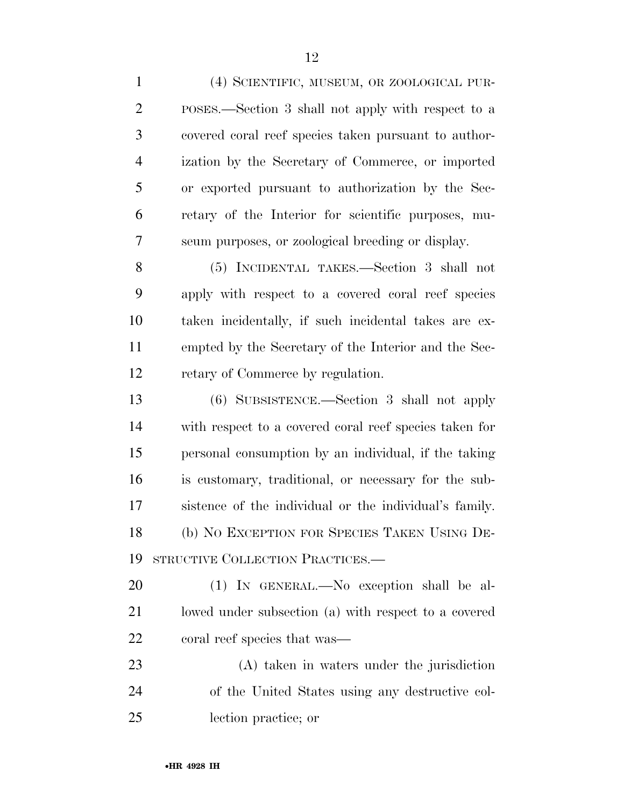(4) SCIENTIFIC, MUSEUM, OR ZOOLOGICAL PUR- POSES.—Section 3 shall not apply with respect to a covered coral reef species taken pursuant to author- ization by the Secretary of Commerce, or imported or exported pursuant to authorization by the Sec- retary of the Interior for scientific purposes, mu- seum purposes, or zoological breeding or display. (5) INCIDENTAL TAKES.—Section 3 shall not apply with respect to a covered coral reef species taken incidentally, if such incidental takes are ex- empted by the Secretary of the Interior and the Sec-12 retary of Commerce by regulation. (6) SUBSISTENCE.—Section 3 shall not apply with respect to a covered coral reef species taken for personal consumption by an individual, if the taking is customary, traditional, or necessary for the sub-

 (b) NO EXCEPTION FOR SPECIES TAKEN USING DE-STRUCTIVE COLLECTION PRACTICES.—

sistence of the individual or the individual's family.

 (1) IN GENERAL.—No exception shall be al- lowed under subsection (a) with respect to a covered coral reef species that was—

 (A) taken in waters under the jurisdiction of the United States using any destructive col-lection practice; or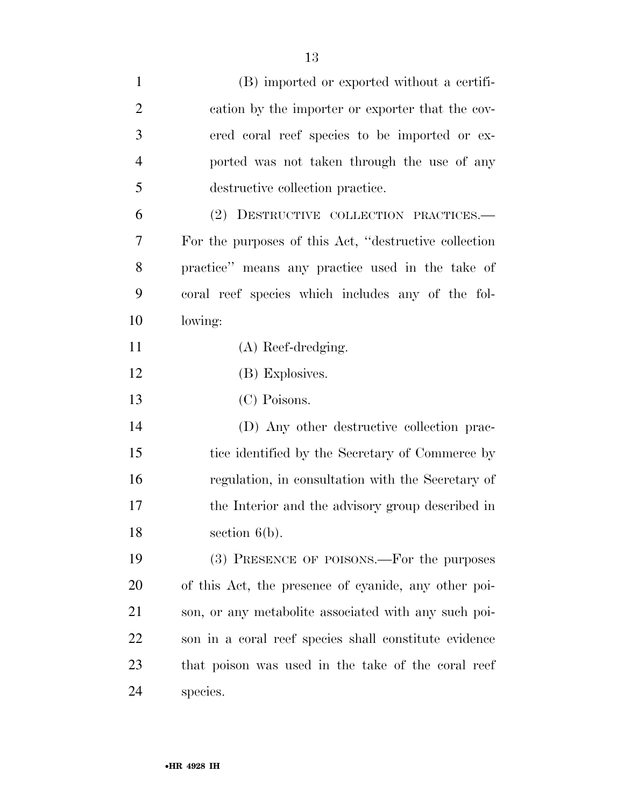| $\mathbf{1}$   | (B) imported or exported without a certifi-            |
|----------------|--------------------------------------------------------|
| $\overline{2}$ | cation by the importer or exporter that the cov-       |
| 3              | ered coral reef species to be imported or ex-          |
| $\overline{4}$ | ported was not taken through the use of any            |
| 5              | destructive collection practice.                       |
| 6              | (2) DESTRUCTIVE COLLECTION PRACTICES.—                 |
| 7              | For the purposes of this Act, "destructive collection" |
| 8              | practice" means any practice used in the take of       |
| 9              | coral reef species which includes any of the fol-      |
| 10             | lowing:                                                |
| 11             | (A) Reef-dredging.                                     |
| 12             | (B) Explosives.                                        |
| 13             | (C) Poisons.                                           |
| 14             | (D) Any other destructive collection prac-             |
| 15             | tice identified by the Secretary of Commerce by        |
| 16             | regulation, in consultation with the Secretary of      |
| 17             | the Interior and the advisory group described in       |
| 18             | section $6(b)$ .                                       |
| 19             | (3) PRESENCE OF POISONS.—For the purposes              |
| 20             | of this Act, the presence of cyanide, any other poi-   |
| 21             | son, or any metabolite associated with any such poi-   |
| 22             | son in a coral reef species shall constitute evidence  |
| 23             | that poison was used in the take of the coral reef     |
| 24             | species.                                               |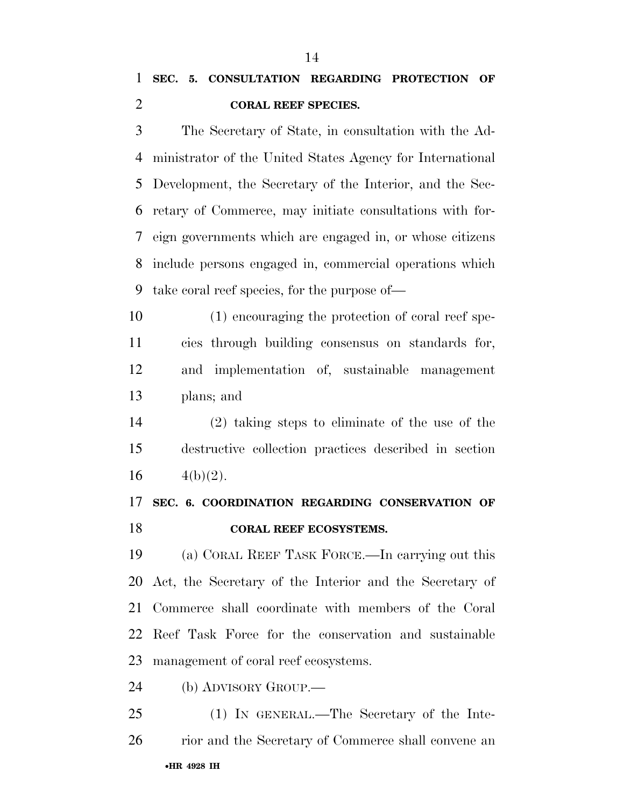The Secretary of State, in consultation with the Ad- ministrator of the United States Agency for International Development, the Secretary of the Interior, and the Sec- retary of Commerce, may initiate consultations with for- eign governments which are engaged in, or whose citizens include persons engaged in, commercial operations which take coral reef species, for the purpose of—

- (1) encouraging the protection of coral reef spe- cies through building consensus on standards for, and implementation of, sustainable management plans; and
- (2) taking steps to eliminate of the use of the destructive collection practices described in section 16  $4(b)(2)$ .

# **SEC. 6. COORDINATION REGARDING CONSERVATION OF CORAL REEF ECOSYSTEMS.**

 (a) CORAL REEF TASK FORCE.—In carrying out this Act, the Secretary of the Interior and the Secretary of Commerce shall coordinate with members of the Coral Reef Task Force for the conservation and sustainable management of coral reef ecosystems.

(b) ADVISORY GROUP.—

•**HR 4928 IH**  (1) IN GENERAL.—The Secretary of the Inte-rior and the Secretary of Commerce shall convene an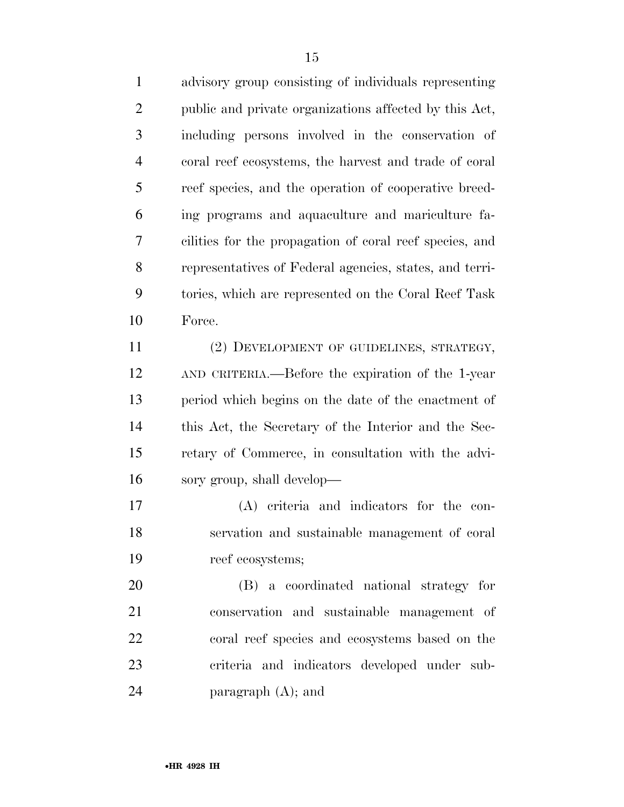advisory group consisting of individuals representing public and private organizations affected by this Act, including persons involved in the conservation of coral reef ecosystems, the harvest and trade of coral reef species, and the operation of cooperative breed- ing programs and aquaculture and mariculture fa- cilities for the propagation of coral reef species, and representatives of Federal agencies, states, and terri- tories, which are represented on the Coral Reef Task Force. (2) DEVELOPMENT OF GUIDELINES, STRATEGY, AND CRITERIA.—Before the expiration of the 1-year period which begins on the date of the enactment of this Act, the Secretary of the Interior and the Sec- retary of Commerce, in consultation with the advi-sory group, shall develop—

 (A) criteria and indicators for the con- servation and sustainable management of coral reef ecosystems;

 (B) a coordinated national strategy for conservation and sustainable management of coral reef species and ecosystems based on the criteria and indicators developed under sub-24 paragraph  $(A)$ ; and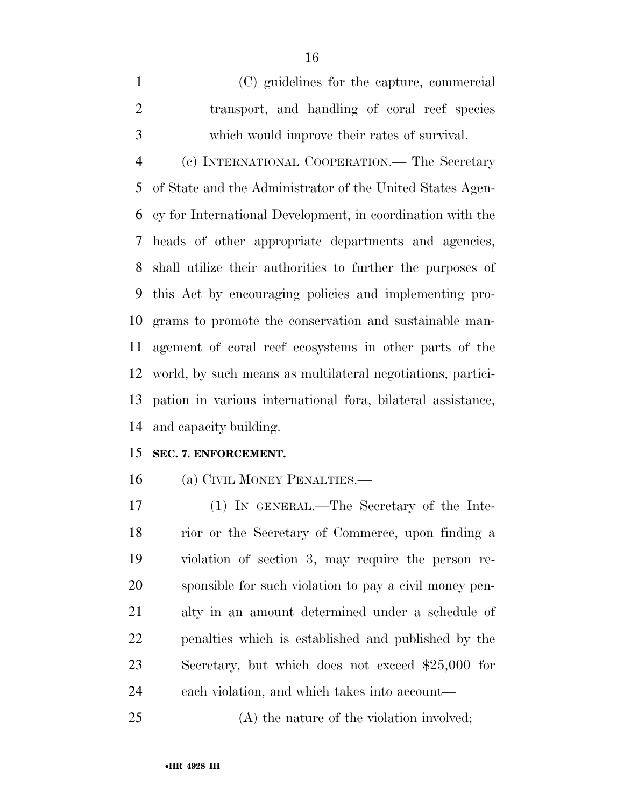(C) guidelines for the capture, commercial transport, and handling of coral reef species which would improve their rates of survival.

 (c) INTERNATIONAL COOPERATION.— The Secretary of State and the Administrator of the United States Agen- cy for International Development, in coordination with the heads of other appropriate departments and agencies, shall utilize their authorities to further the purposes of this Act by encouraging policies and implementing pro- grams to promote the conservation and sustainable man- agement of coral reef ecosystems in other parts of the world, by such means as multilateral negotiations, partici- pation in various international fora, bilateral assistance, and capacity building.

# **SEC. 7. ENFORCEMENT.**

(a) CIVIL MONEY PENALTIES.—

 (1) IN GENERAL.—The Secretary of the Inte- rior or the Secretary of Commerce, upon finding a violation of section 3, may require the person re- sponsible for such violation to pay a civil money pen- alty in an amount determined under a schedule of penalties which is established and published by the Secretary, but which does not exceed \$25,000 for each violation, and which takes into account—

(A) the nature of the violation involved;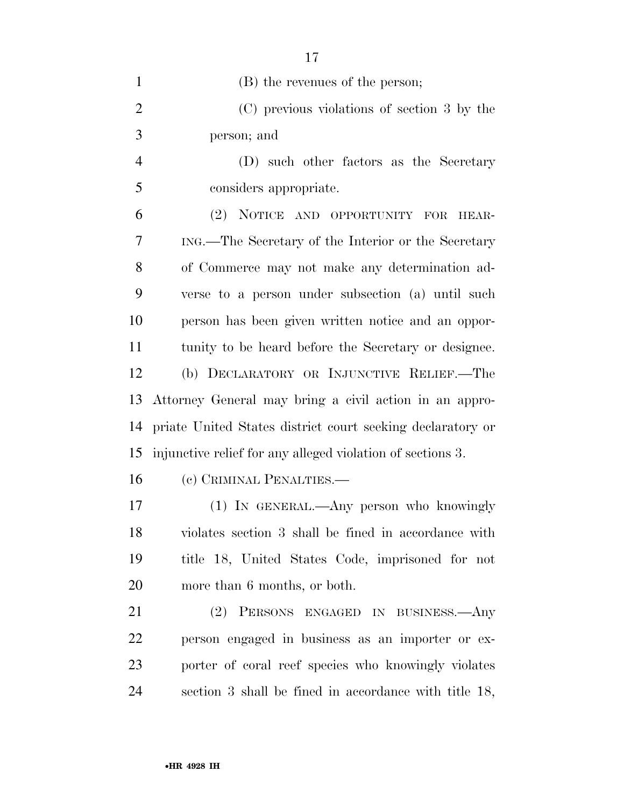| $\mathbf{1}$   | (B) the revenues of the person;                            |
|----------------|------------------------------------------------------------|
| $\overline{2}$ | (C) previous violations of section 3 by the                |
| 3              | person; and                                                |
| $\overline{4}$ | (D) such other factors as the Secretary                    |
| 5              | considers appropriate.                                     |
| 6              | (2) NOTICE AND OPPORTUNITY FOR<br>HEAR-                    |
| 7              | ING.—The Secretary of the Interior or the Secretary        |
| 8              | of Commerce may not make any determination ad-             |
| 9              | verse to a person under subsection (a) until such          |
| 10             | person has been given written notice and an oppor-         |
| 11             | tunity to be heard before the Secretary or designee.       |
| 12             | (b) DECLARATORY OR INJUNCTIVE RELIEF.—The                  |
|                |                                                            |
| 13             | Attorney General may bring a civil action in an appro-     |
| 14             | priate United States district court seeking declaratory or |
| 15             | injunctive relief for any alleged violation of sections 3. |
| 16             | (c) CRIMINAL PENALTIES.—                                   |
| 17             | (1) IN GENERAL.—Any person who knowingly                   |
| 18             | violates section 3 shall be fined in accordance with       |
| 19             | title 18, United States Code, imprisoned for not           |
| 20             | more than 6 months, or both.                               |
| 21             | (2) PERSONS ENGAGED IN BUSINESS.—Any                       |
| 22             | person engaged in business as an importer or ex-           |
| 23             | porter of coral reef species who knowingly violates        |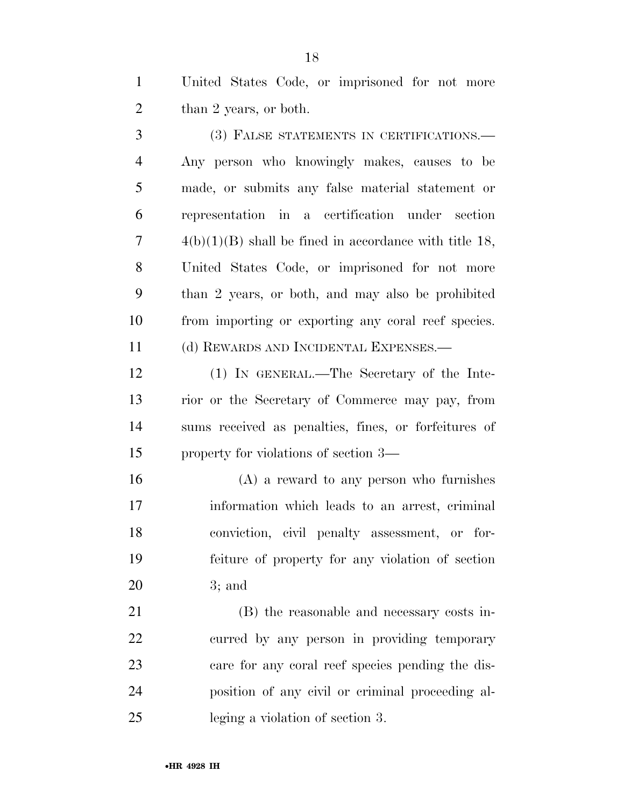United States Code, or imprisoned for not more 2 than 2 years, or both.

 (3) FALSE STATEMENTS IN CERTIFICATIONS.— Any person who knowingly makes, causes to be made, or submits any false material statement or representation in a certification under section  $7 \qquad \qquad 4(b)(1)(B)$  shall be fined in accordance with title 18, United States Code, or imprisoned for not more than 2 years, or both, and may also be prohibited from importing or exporting any coral reef species. (d) REWARDS AND INCIDENTAL EXPENSES.—

 (1) IN GENERAL.—The Secretary of the Inte- rior or the Secretary of Commerce may pay, from sums received as penalties, fines, or forfeitures of property for violations of section 3—

 (A) a reward to any person who furnishes information which leads to an arrest, criminal conviction, civil penalty assessment, or for- feiture of property for any violation of section 3; and

 (B) the reasonable and necessary costs in- curred by any person in providing temporary care for any coral reef species pending the dis- position of any civil or criminal proceeding al-leging a violation of section 3.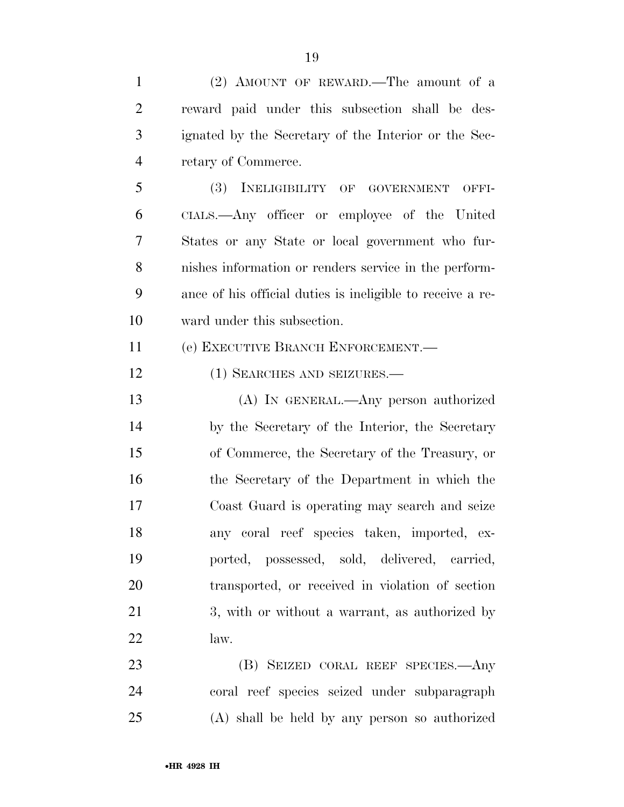| $\mathbf{1}$   | (2) AMOUNT OF REWARD.—The amount of a                      |
|----------------|------------------------------------------------------------|
| $\overline{2}$ | reward paid under this subsection shall be des-            |
| 3              | ignated by the Secretary of the Interior or the Sec-       |
| $\overline{4}$ | retary of Commerce.                                        |
| 5              | (3) INELIGIBILITY OF GOVERNMENT<br>OFFI-                   |
| 6              | CIALS.—Any officer or employee of the United               |
| 7              | States or any State or local government who fur-           |
| 8              | nishes information or renders service in the perform-      |
| 9              | ance of his official duties is ineligible to receive a re- |
| 10             | ward under this subsection.                                |
| 11             | (e) EXECUTIVE BRANCH ENFORCEMENT.                          |
| 12             | (1) SEARCHES AND SEIZURES.—                                |
| 13             | (A) IN GENERAL.—Any person authorized                      |
| 14             | by the Secretary of the Interior, the Secretary            |
| 15             | of Commerce, the Secretary of the Treasury, or             |
| 16             | the Secretary of the Department in which the               |
| 17             | Coast Guard is operating may search and seize              |
| 18             | any coral reef species taken, imported, ex-                |
| 19             | ported, possessed, sold, delivered, carried,               |
| 20             | transported, or received in violation of section           |
| 21             | 3, with or without a warrant, as authorized by             |
| 22             | law.                                                       |
| 23             | (B) SEIZED CORAL REEF SPECIES.—Any                         |
| 24             | coral reef species seized under subparagraph               |
| 25             | (A) shall be held by any person so authorized              |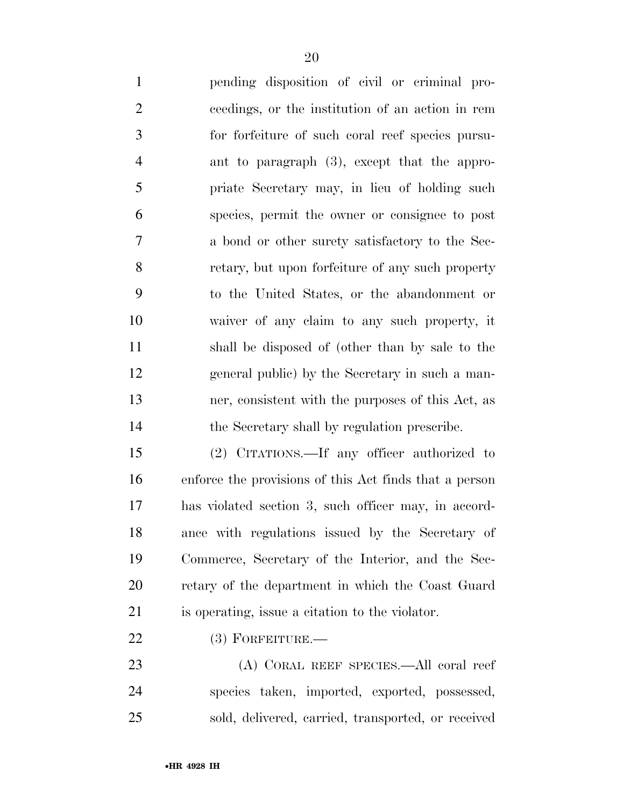| $\mathbf{1}$   | pending disposition of civil or criminal pro-                                   |
|----------------|---------------------------------------------------------------------------------|
| $\overline{2}$ | ceedings, or the institution of an action in rem                                |
| 3              | for forfeiture of such coral reef species pursu-                                |
| $\overline{4}$ | ant to paragraph $(3)$ , except that the appro-                                 |
| 5              | priate Secretary may, in lieu of holding such                                   |
| 6              | species, permit the owner or consignee to post                                  |
| $\overline{7}$ | a bond or other surety satisfactory to the Sec-                                 |
| 8              | retary, but upon forfeiture of any such property                                |
| 9              | to the United States, or the abandonment or                                     |
| 10             | waiver of any claim to any such property, it                                    |
| 11             | shall be disposed of (other than by sale to the                                 |
| 12             | general public) by the Secretary in such a man-                                 |
| 13             | ner, consistent with the purposes of this Act, as                               |
| 14             | the Secretary shall by regulation prescribe.                                    |
| 15             | (2) CITATIONS.—If any officer authorized to                                     |
| 16             | enforce the provisions of this Act finds that a person                          |
| 17             | has violated section 3, such officer may, in accord-                            |
| $\sim$ $\sim$  | the contract of the contract of the contract of the contract of the contract of |

 ance with regulations issued by the Secretary of Commerce, Secretary of the Interior, and the Sec- retary of the department in which the Coast Guard is operating, issue a citation to the violator.

# (3) FORFEITURE.—

 (A) CORAL REEF SPECIES.—All coral reef species taken, imported, exported, possessed, sold, delivered, carried, transported, or received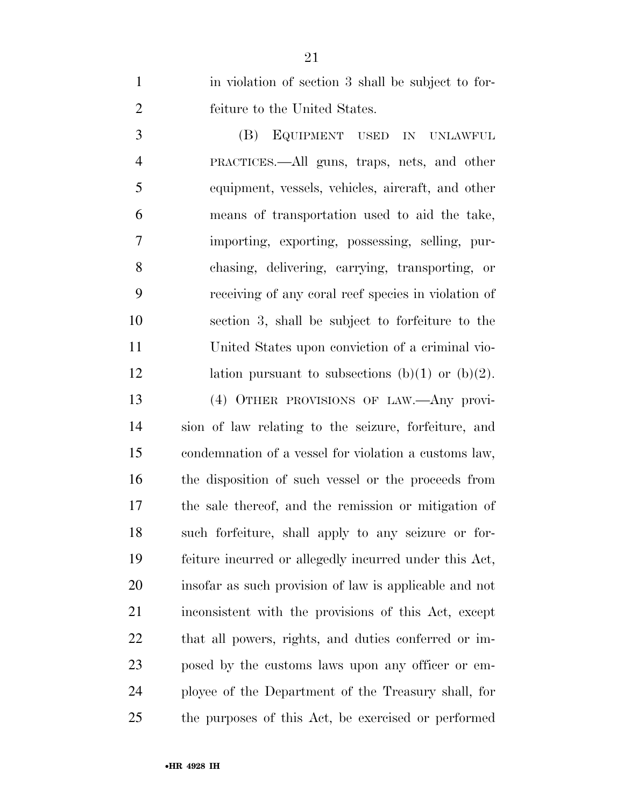1 in violation of section 3 shall be subject to for-feiture to the United States.

 (B) EQUIPMENT USED IN UNLAWFUL PRACTICES.—All guns, traps, nets, and other equipment, vessels, vehicles, aircraft, and other means of transportation used to aid the take, importing, exporting, possessing, selling, pur- chasing, delivering, carrying, transporting, or receiving of any coral reef species in violation of section 3, shall be subject to forfeiture to the United States upon conviction of a criminal vio-12 lation pursuant to subsections  $(b)(1)$  or  $(b)(2)$ . (4) OTHER PROVISIONS OF LAW.—Any provi- sion of law relating to the seizure, forfeiture, and condemnation of a vessel for violation a customs law, the disposition of such vessel or the proceeds from the sale thereof, and the remission or mitigation of such forfeiture, shall apply to any seizure or for- feiture incurred or allegedly incurred under this Act, insofar as such provision of law is applicable and not inconsistent with the provisions of this Act, except that all powers, rights, and duties conferred or im- posed by the customs laws upon any officer or em- ployee of the Department of the Treasury shall, for the purposes of this Act, be exercised or performed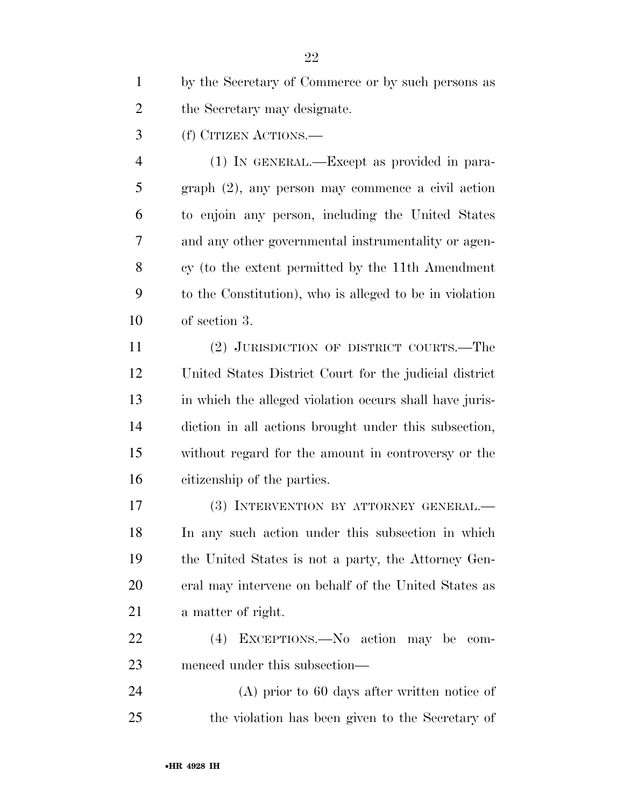by the Secretary of Commerce or by such persons as the Secretary may designate.

(f) CITIZEN ACTIONS.—

 (1) IN GENERAL.—Except as provided in para- graph (2), any person may commence a civil action to enjoin any person, including the United States and any other governmental instrumentality or agen- cy (to the extent permitted by the 11th Amendment to the Constitution), who is alleged to be in violation of section 3.

 (2) JURISDICTION OF DISTRICT COURTS.—The United States District Court for the judicial district in which the alleged violation occurs shall have juris- diction in all actions brought under this subsection, without regard for the amount in controversy or the citizenship of the parties.

 (3) INTERVENTION BY ATTORNEY GENERAL.— In any such action under this subsection in which the United States is not a party, the Attorney Gen- eral may intervene on behalf of the United States as a matter of right.

 (4) EXCEPTIONS.—No action may be com-menced under this subsection—

 (A) prior to 60 days after written notice of the violation has been given to the Secretary of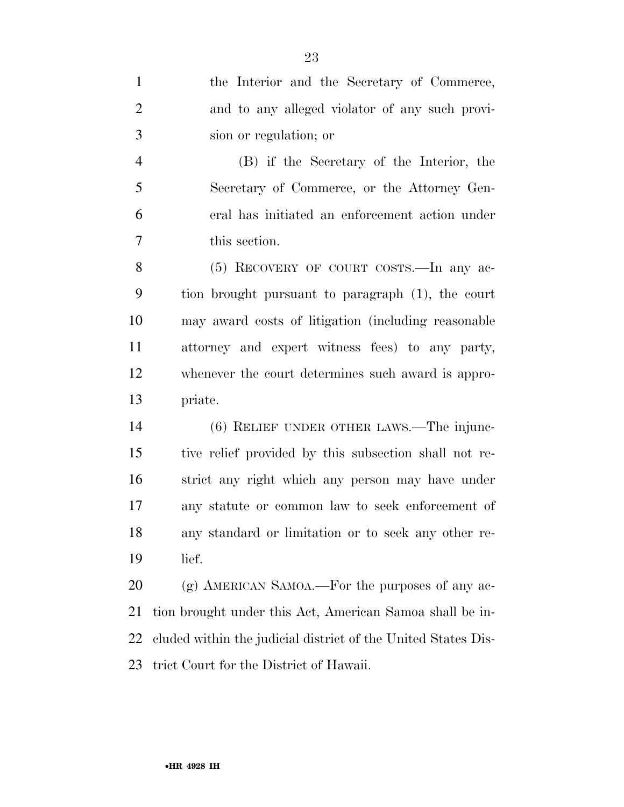the Interior and the Secretary of Commerce, and to any alleged violator of any such provi- sion or regulation; or (B) if the Secretary of the Interior, the Secretary of Commerce, or the Attorney Gen- eral has initiated an enforcement action under this section. (5) RECOVERY OF COURT COSTS.—In any ac- tion brought pursuant to paragraph (1), the court may award costs of litigation (including reasonable attorney and expert witness fees) to any party, whenever the court determines such award is appro- priate. (6) RELIEF UNDER OTHER LAWS.—The injunc- tive relief provided by this subsection shall not re- strict any right which any person may have under any statute or common law to seek enforcement of any standard or limitation or to seek any other re- lief. 20 (g) AMERICAN SAMOA.—For the purposes of any ac- tion brought under this Act, American Samoa shall be in- cluded within the judicial district of the United States Dis-trict Court for the District of Hawaii.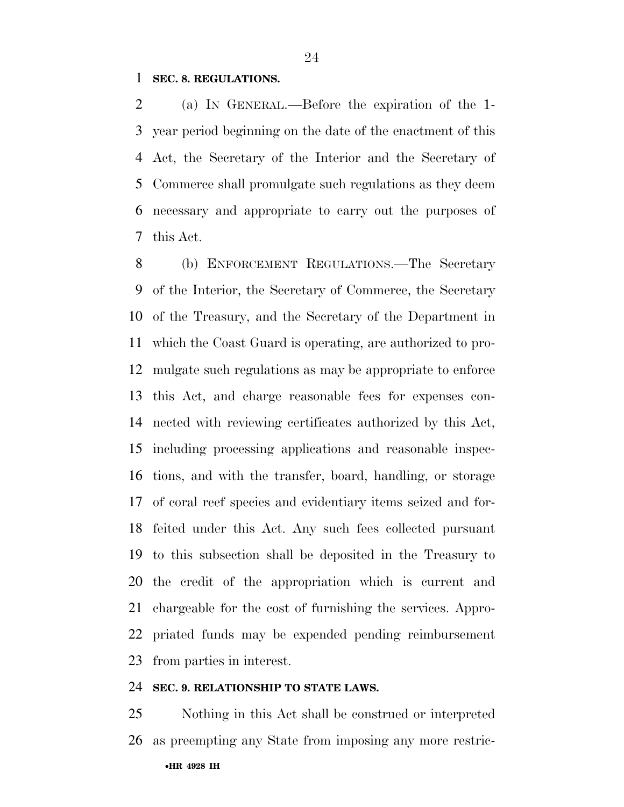# **SEC. 8. REGULATIONS.**

 (a) IN GENERAL.—Before the expiration of the 1- year period beginning on the date of the enactment of this Act, the Secretary of the Interior and the Secretary of Commerce shall promulgate such regulations as they deem necessary and appropriate to carry out the purposes of this Act.

 (b) ENFORCEMENT REGULATIONS.—The Secretary of the Interior, the Secretary of Commerce, the Secretary of the Treasury, and the Secretary of the Department in which the Coast Guard is operating, are authorized to pro- mulgate such regulations as may be appropriate to enforce this Act, and charge reasonable fees for expenses con- nected with reviewing certificates authorized by this Act, including processing applications and reasonable inspec- tions, and with the transfer, board, handling, or storage of coral reef species and evidentiary items seized and for- feited under this Act. Any such fees collected pursuant to this subsection shall be deposited in the Treasury to the credit of the appropriation which is current and chargeable for the cost of furnishing the services. Appro- priated funds may be expended pending reimbursement from parties in interest.

### **SEC. 9. RELATIONSHIP TO STATE LAWS.**

 Nothing in this Act shall be construed or interpreted as preempting any State from imposing any more restric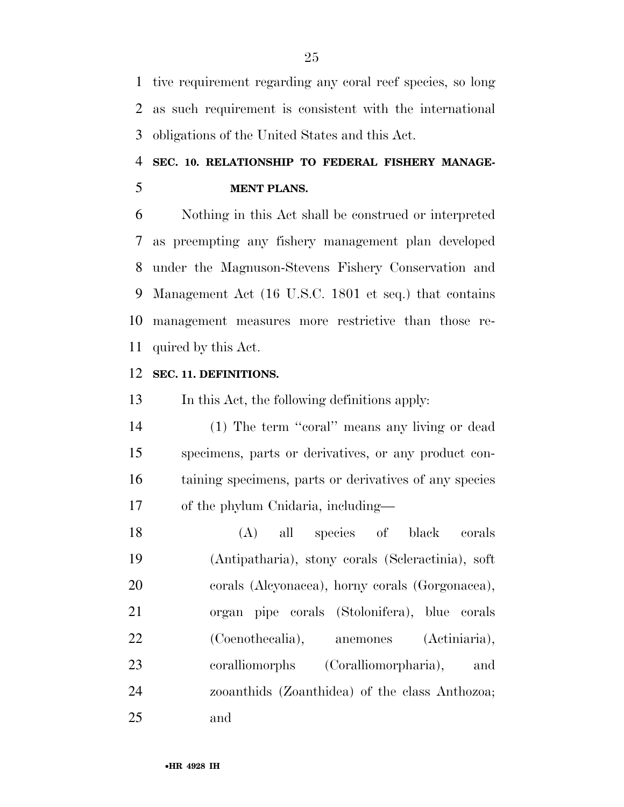tive requirement regarding any coral reef species, so long as such requirement is consistent with the international obligations of the United States and this Act.

# **SEC. 10. RELATIONSHIP TO FEDERAL FISHERY MANAGE-MENT PLANS.**

 Nothing in this Act shall be construed or interpreted as preempting any fishery management plan developed under the Magnuson-Stevens Fishery Conservation and Management Act (16 U.S.C. 1801 et seq.) that contains management measures more restrictive than those re-quired by this Act.

# **SEC. 11. DEFINITIONS.**

In this Act, the following definitions apply:

 (1) The term ''coral'' means any living or dead specimens, parts or derivatives, or any product con- taining specimens, parts or derivatives of any species of the phylum Cnidaria, including—

 (A) all species of black corals (Antipatharia), stony corals (Scleractinia), soft corals (Alcyonacea), horny corals (Gorgonacea), organ pipe corals (Stolonifera), blue corals (Coenothecalia), anemones (Actiniaria), coralliomorphs (Coralliomorpharia), and zooanthids (Zoanthidea) of the class Anthozoa; and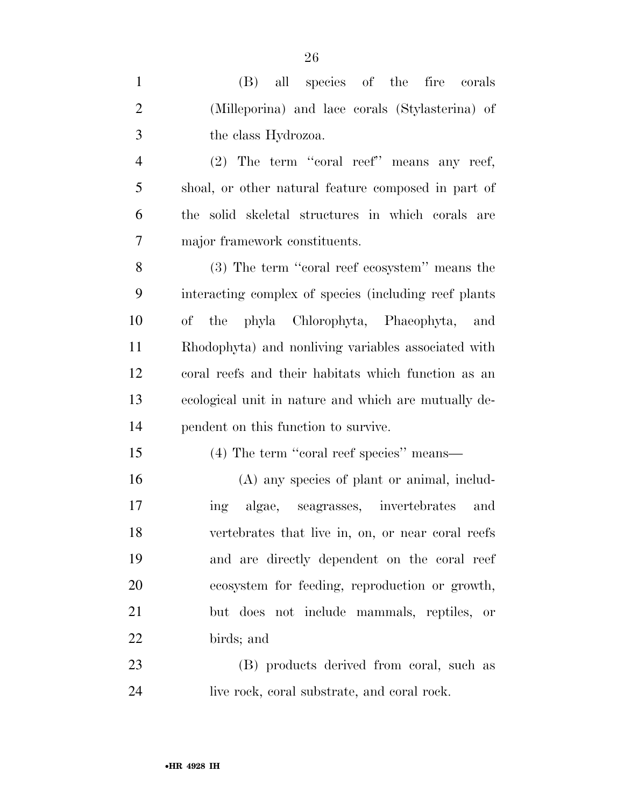(B) all species of the fire corals (Milleporina) and lace corals (Stylasterina) of the class Hydrozoa. (2) The term ''coral reef'' means any reef, shoal, or other natural feature composed in part of the solid skeletal structures in which corals are major framework constituents. (3) The term ''coral reef ecosystem'' means the interacting complex of species (including reef plants of the phyla Chlorophyta, Phaeophyta, and Rhodophyta) and nonliving variables associated with coral reefs and their habitats which function as an ecological unit in nature and which are mutually de- pendent on this function to survive. (4) The term ''coral reef species'' means— (A) any species of plant or animal, includ- ing algae, seagrasses, invertebrates and vertebrates that live in, on, or near coral reefs and are directly dependent on the coral reef ecosystem for feeding, reproduction or growth,

birds; and

 (B) products derived from coral, such as live rock, coral substrate, and coral rock.

but does not include mammals, reptiles, or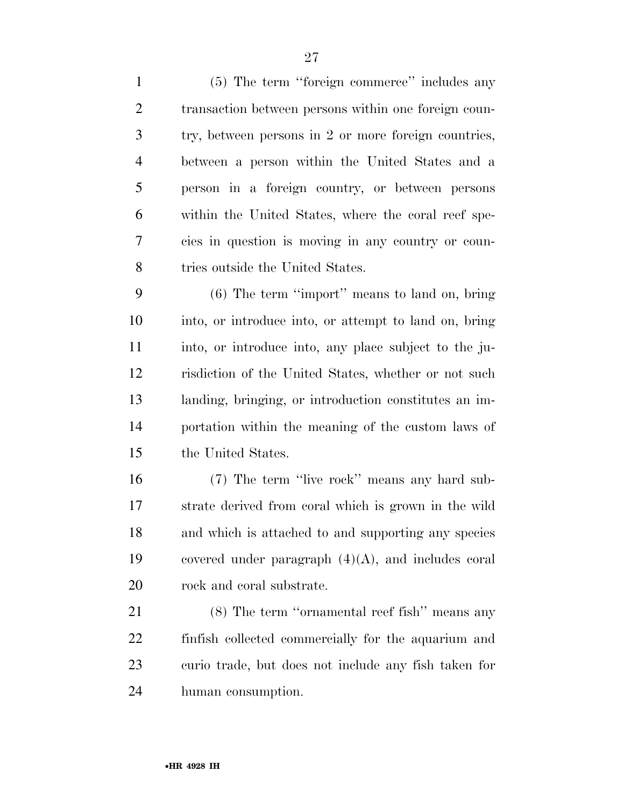(5) The term ''foreign commerce'' includes any transaction between persons within one foreign coun- try, between persons in 2 or more foreign countries, between a person within the United States and a person in a foreign country, or between persons within the United States, where the coral reef spe- cies in question is moving in any country or coun-8 tries outside the United States.

 (6) The term ''import'' means to land on, bring into, or introduce into, or attempt to land on, bring into, or introduce into, any place subject to the ju- risdiction of the United States, whether or not such landing, bringing, or introduction constitutes an im- portation within the meaning of the custom laws of the United States.

 (7) The term ''live rock'' means any hard sub- strate derived from coral which is grown in the wild and which is attached to and supporting any species 19 covered under paragraph  $(4)(A)$ , and includes coral rock and coral substrate.

 (8) The term ''ornamental reef fish'' means any finfish collected commercially for the aquarium and curio trade, but does not include any fish taken for human consumption.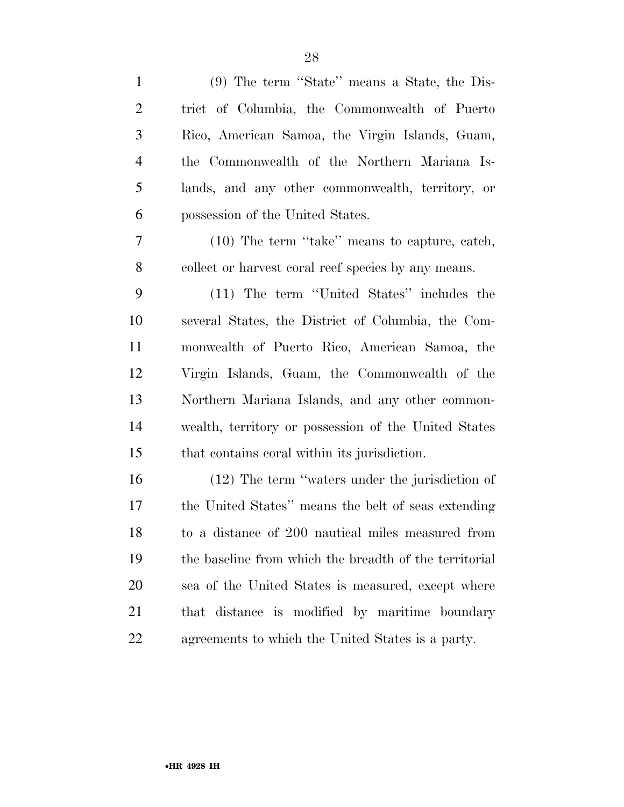| $\mathbf{1}$   | (9) The term "State" means a State, the Dis-           |
|----------------|--------------------------------------------------------|
| $\overline{2}$ | trict of Columbia, the Commonwealth of Puerto          |
| 3              | Rico, American Samoa, the Virgin Islands, Guam,        |
| $\overline{4}$ | the Commonwealth of the Northern Mariana Is-           |
| 5              | lands, and any other commonwealth, territory, or       |
| 6              | possession of the United States.                       |
| 7              | (10) The term "take" means to capture, catch,          |
| $8\phantom{1}$ | collect or harvest coral reef species by any means.    |
| 9              | (11) The term "United States" includes the             |
| 10             | several States, the District of Columbia, the Com-     |
| 11             | monwealth of Puerto Rico, American Samoa, the          |
| 12             | Virgin Islands, Guam, the Commonwealth of the          |
| 13             | Northern Mariana Islands, and any other common-        |
| 14             | wealth, territory or possession of the United States   |
| 15             | that contains coral within its jurisdiction.           |
| 16             | $(12)$ The term "waters under the jurisdiction of      |
| 17             | the United States" means the belt of seas extending    |
| 18             | to a distance of 200 nautical miles measured from      |
| 19             | the baseline from which the breadth of the territorial |
| 20             | sea of the United States is measured, except where     |
| 21             | that distance is modified by maritime boundary         |
| 22             | agreements to which the United States is a party.      |